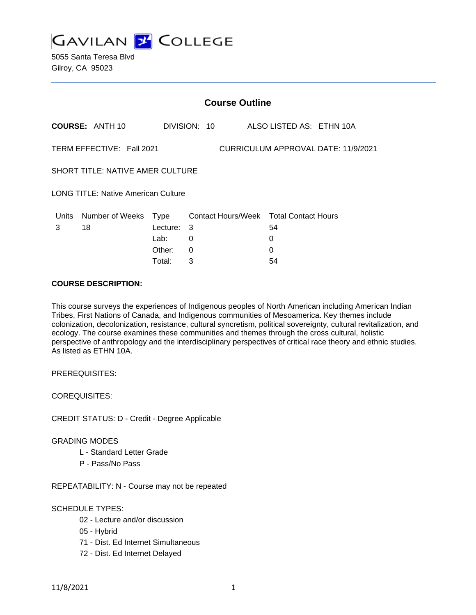

|                                                                  |                        |          | <b>Course Outline</b> |                                        |
|------------------------------------------------------------------|------------------------|----------|-----------------------|----------------------------------------|
|                                                                  | <b>COURSE: ANTH 10</b> |          | DIVISION: 10          | ALSO LISTED AS: ETHN 10A               |
| TERM EFFECTIVE: Fall 2021<br>CURRICULUM APPROVAL DATE: 11/9/2021 |                        |          |                       |                                        |
| <b>SHORT TITLE: NATIVE AMER CULTURE</b>                          |                        |          |                       |                                        |
| <b>LONG TITLE: Native American Culture</b>                       |                        |          |                       |                                        |
| Units                                                            | Number of Weeks Type   |          |                       | Contact Hours/Week Total Contact Hours |
| 3                                                                | 18                     | Lecture: | 3                     | 54                                     |
|                                                                  |                        | Lab:     | 0                     | 0                                      |
|                                                                  |                        | Other:   | $\Omega$              | 0                                      |
|                                                                  |                        | Total:   | 3                     | 54                                     |

### **COURSE DESCRIPTION:**

This course surveys the experiences of Indigenous peoples of North American including American Indian Tribes, First Nations of Canada, and Indigenous communities of Mesoamerica. Key themes include colonization, decolonization, resistance, cultural syncretism, political sovereignty, cultural revitalization, and ecology. The course examines these communities and themes through the cross cultural, holistic perspective of anthropology and the interdisciplinary perspectives of critical race theory and ethnic studies. As listed as ETHN 10A.

PREREQUISITES:

COREQUISITES:

CREDIT STATUS: D - Credit - Degree Applicable

#### GRADING MODES

- L Standard Letter Grade
- P Pass/No Pass

REPEATABILITY: N - Course may not be repeated

#### SCHEDULE TYPES:

- 02 Lecture and/or discussion
- 05 Hybrid
- 71 Dist. Ed Internet Simultaneous
- 72 Dist. Ed Internet Delayed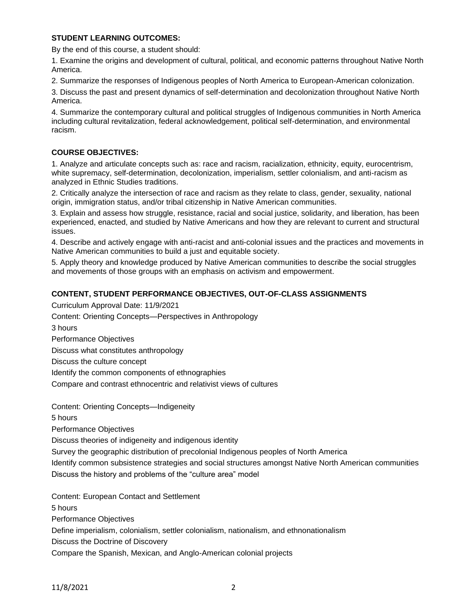## **STUDENT LEARNING OUTCOMES:**

By the end of this course, a student should:

1. Examine the origins and development of cultural, political, and economic patterns throughout Native North America.

2. Summarize the responses of Indigenous peoples of North America to European-American colonization.

3. Discuss the past and present dynamics of self-determination and decolonization throughout Native North America.

4. Summarize the contemporary cultural and political struggles of Indigenous communities in North America including cultural revitalization, federal acknowledgement, political self-determination, and environmental racism.

## **COURSE OBJECTIVES:**

1. Analyze and articulate concepts such as: race and racism, racialization, ethnicity, equity, eurocentrism, white supremacy, self-determination, decolonization, imperialism, settler colonialism, and anti-racism as analyzed in Ethnic Studies traditions.

2. Critically analyze the intersection of race and racism as they relate to class, gender, sexuality, national origin, immigration status, and/or tribal citizenship in Native American communities.

3. Explain and assess how struggle, resistance, racial and social justice, solidarity, and liberation, has been experienced, enacted, and studied by Native Americans and how they are relevant to current and structural issues.

4. Describe and actively engage with anti-racist and anti-colonial issues and the practices and movements in Native American communities to build a just and equitable society.

5. Apply theory and knowledge produced by Native American communities to describe the social struggles and movements of those groups with an emphasis on activism and empowerment.

# **CONTENT, STUDENT PERFORMANCE OBJECTIVES, OUT-OF-CLASS ASSIGNMENTS**

Curriculum Approval Date: 11/9/2021 Content: Orienting Concepts—Perspectives in Anthropology 3 hours Performance Objectives Discuss what constitutes anthropology Discuss the culture concept Identify the common components of ethnographies Compare and contrast ethnocentric and relativist views of cultures

Content: Orienting Concepts—Indigeneity

5 hours

Performance Objectives

Discuss theories of indigeneity and indigenous identity

Survey the geographic distribution of precolonial Indigenous peoples of North America

Identify common subsistence strategies and social structures amongst Native North American communities

Discuss the history and problems of the "culture area" model

Content: European Contact and Settlement

5 hours

Performance Objectives

Define imperialism, colonialism, settler colonialism, nationalism, and ethnonationalism

Discuss the Doctrine of Discovery

Compare the Spanish, Mexican, and Anglo-American colonial projects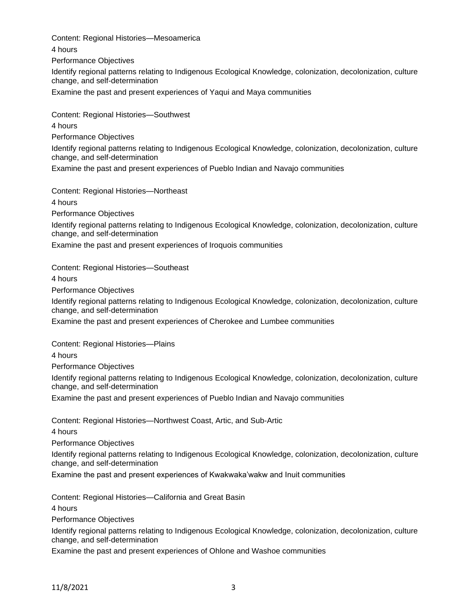Content: Regional Histories—Mesoamerica 4 hours Performance Objectives Identify regional patterns relating to Indigenous Ecological Knowledge, colonization, decolonization, culture change, and self-determination Examine the past and present experiences of Yaqui and Maya communities

Content: Regional Histories—Southwest 4 hours Performance Objectives Identify regional patterns relating to Indigenous Ecological Knowledge, colonization, decolonization, culture change, and self-determination Examine the past and present experiences of Pueblo Indian and Navajo communities

Content: Regional Histories—Northeast

4 hours

Performance Objectives

Identify regional patterns relating to Indigenous Ecological Knowledge, colonization, decolonization, culture change, and self-determination

Examine the past and present experiences of Iroquois communities

Content: Regional Histories—Southeast

4 hours

Performance Objectives

Identify regional patterns relating to Indigenous Ecological Knowledge, colonization, decolonization, culture change, and self-determination

Examine the past and present experiences of Cherokee and Lumbee communities

Content: Regional Histories—Plains

4 hours

Performance Objectives

Identify regional patterns relating to Indigenous Ecological Knowledge, colonization, decolonization, culture change, and self-determination

Examine the past and present experiences of Pueblo Indian and Navajo communities

Content: Regional Histories—Northwest Coast, Artic, and Sub-Artic

4 hours

Performance Objectives

Identify regional patterns relating to Indigenous Ecological Knowledge, colonization, decolonization, culture change, and self-determination

Examine the past and present experiences of Kwakwaka'wakw and Inuit communities

Content: Regional Histories—California and Great Basin

4 hours

Performance Objectives

Identify regional patterns relating to Indigenous Ecological Knowledge, colonization, decolonization, culture change, and self-determination

Examine the past and present experiences of Ohlone and Washoe communities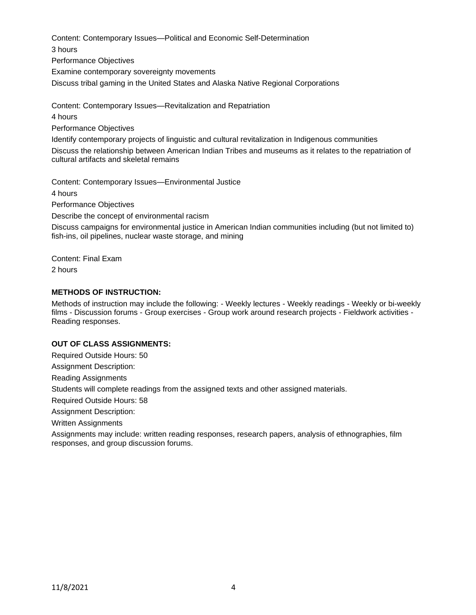Content: Contemporary Issues—Political and Economic Self-Determination 3 hours Performance Objectives Examine contemporary sovereignty movements Discuss tribal gaming in the United States and Alaska Native Regional Corporations

Content: Contemporary Issues—Revitalization and Repatriation

4 hours

Performance Objectives

Identify contemporary projects of linguistic and cultural revitalization in Indigenous communities Discuss the relationship between American Indian Tribes and museums as it relates to the repatriation of cultural artifacts and skeletal remains

Content: Contemporary Issues—Environmental Justice

4 hours

Performance Objectives

Describe the concept of environmental racism

Discuss campaigns for environmental justice in American Indian communities including (but not limited to) fish-ins, oil pipelines, nuclear waste storage, and mining

Content: Final Exam 2 hours

## **METHODS OF INSTRUCTION:**

Methods of instruction may include the following: - Weekly lectures - Weekly readings - Weekly or bi-weekly films - Discussion forums - Group exercises - Group work around research projects - Fieldwork activities - Reading responses.

## **OUT OF CLASS ASSIGNMENTS:**

Required Outside Hours: 50

Assignment Description:

Reading Assignments

Students will complete readings from the assigned texts and other assigned materials.

Required Outside Hours: 58

Assignment Description:

Written Assignments

Assignments may include: written reading responses, research papers, analysis of ethnographies, film responses, and group discussion forums.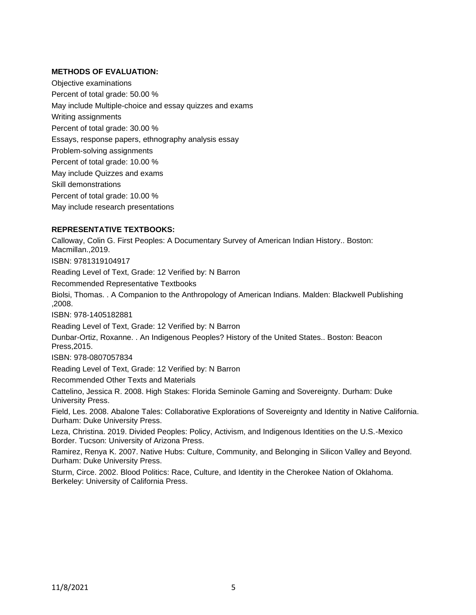### **METHODS OF EVALUATION:**

Objective examinations Percent of total grade: 50.00 % May include Multiple-choice and essay quizzes and exams Writing assignments Percent of total grade: 30.00 % Essays, response papers, ethnography analysis essay Problem-solving assignments Percent of total grade: 10.00 % May include Quizzes and exams Skill demonstrations Percent of total grade: 10.00 % May include research presentations

### **REPRESENTATIVE TEXTBOOKS:**

Calloway, Colin G. First Peoples: A Documentary Survey of American Indian History.. Boston: Macmillan.,2019. ISBN: 9781319104917 Reading Level of Text, Grade: 12 Verified by: N Barron Recommended Representative Textbooks Biolsi, Thomas. . A Companion to the Anthropology of American Indians. Malden: Blackwell Publishing ,2008. ISBN: 978-1405182881 Reading Level of Text, Grade: 12 Verified by: N Barron Dunbar-Ortiz, Roxanne. . An Indigenous Peoples? History of the United States.. Boston: Beacon Press,2015. ISBN: 978-0807057834

Reading Level of Text, Grade: 12 Verified by: N Barron

Recommended Other Texts and Materials

Cattelino, Jessica R. 2008. High Stakes: Florida Seminole Gaming and Sovereignty. Durham: Duke University Press.

Field, Les. 2008. Abalone Tales: Collaborative Explorations of Sovereignty and Identity in Native California. Durham: Duke University Press.

Leza, Christina. 2019. Divided Peoples: Policy, Activism, and Indigenous Identities on the U.S.-Mexico Border. Tucson: University of Arizona Press.

Ramirez, Renya K. 2007. Native Hubs: Culture, Community, and Belonging in Silicon Valley and Beyond. Durham: Duke University Press.

Sturm, Circe. 2002. Blood Politics: Race, Culture, and Identity in the Cherokee Nation of Oklahoma. Berkeley: University of California Press.